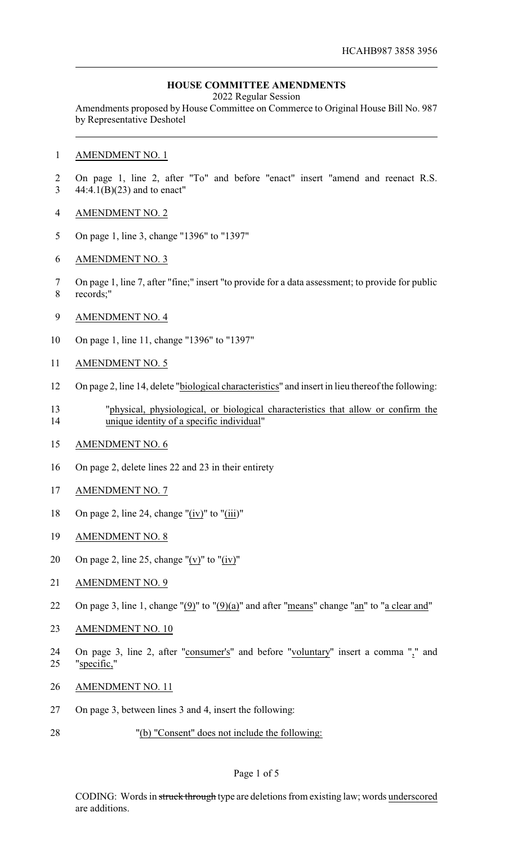## **HOUSE COMMITTEE AMENDMENTS**

2022 Regular Session

Amendments proposed by House Committee on Commerce to Original House Bill No. 987 by Representative Deshotel

### AMENDMENT NO. 1

- On page 1, line 2, after "To" and before "enact" insert "amend and reenact R.S. 44:4.1(B)(23) and to enact"
- AMENDMENT NO. 2
- On page 1, line 3, change "1396" to "1397"
- AMENDMENT NO. 3
- On page 1, line 7, after "fine;" insert "to provide for a data assessment; to provide for public records;"
- AMENDMENT NO. 4
- On page 1, line 11, change "1396" to "1397"
- AMENDMENT NO. 5
- On page 2, line 14, delete "biological characteristics" and insert in lieu thereof the following:
- "physical, physiological, or biological characteristics that allow or confirm the unique identity of a specific individual"
- AMENDMENT NO. 6
- On page 2, delete lines 22 and 23 in their entirety
- AMENDMENT NO. 7
- On page 2, line 24, change "(iv)" to "(iii)"
- AMENDMENT NO. 8
- 20 On page 2, line 25, change " $(v)$ " to " $(iv)$ "
- 21 AMENDMENT NO. 9
- 22 On page 3, line 1, change " $(9)$ " to " $(9)(a)$ " and after "means" change "an" to "a clear and"
- AMENDMENT NO. 10
- On page 3, line 2, after "consumer's" and before "voluntary" insert a comma "," and "specific,"
- AMENDMENT NO. 11
- On page 3, between lines 3 and 4, insert the following:
- "(b) "Consent" does not include the following:

### Page 1 of 5

CODING: Words in struck through type are deletions from existing law; words underscored are additions.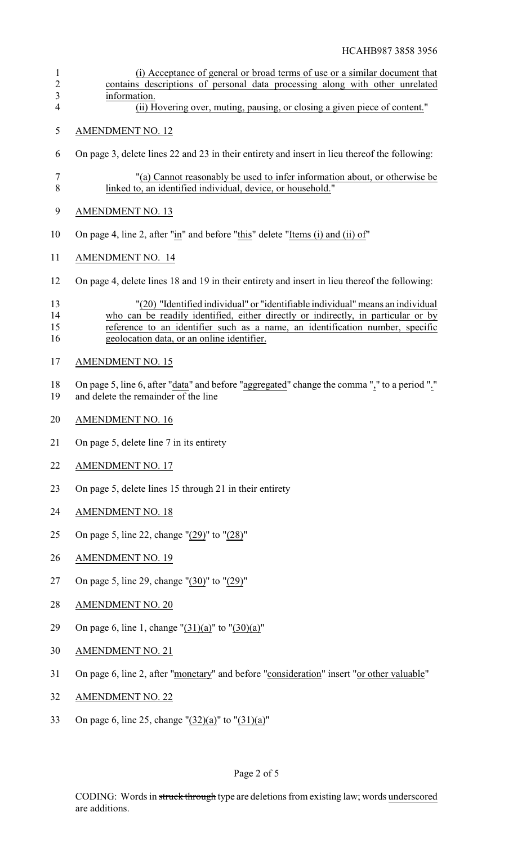| $\mathbf{1}$<br>$\sqrt{2}$<br>$\overline{\mathbf{3}}$ | (i) Acceptance of general or broad terms of use or a similar document that<br>contains descriptions of personal data processing along with other unrelated                                                                                                                                         |
|-------------------------------------------------------|----------------------------------------------------------------------------------------------------------------------------------------------------------------------------------------------------------------------------------------------------------------------------------------------------|
| $\overline{4}$                                        | information.<br>(ii) Hovering over, muting, pausing, or closing a given piece of content."                                                                                                                                                                                                         |
| 5                                                     | <b>AMENDMENT NO. 12</b>                                                                                                                                                                                                                                                                            |
| 6                                                     | On page 3, delete lines 22 and 23 in their entirety and insert in lieu thereof the following:                                                                                                                                                                                                      |
| $\tau$<br>8                                           | "(a) Cannot reasonably be used to infer information about, or otherwise be<br>linked to, an identified individual, device, or household."                                                                                                                                                          |
| 9                                                     | <b>AMENDMENT NO. 13</b>                                                                                                                                                                                                                                                                            |
| 10                                                    | On page 4, line 2, after "in" and before "this" delete "Items (i) and (ii) of"                                                                                                                                                                                                                     |
| 11                                                    | <b>AMENDMENT NO. 14</b>                                                                                                                                                                                                                                                                            |
| 12                                                    | On page 4, delete lines 18 and 19 in their entirety and insert in lieu thereof the following:                                                                                                                                                                                                      |
| 13<br>14<br>15<br>16                                  | "(20) "Identified individual" or "identifiable individual" means an individual<br>who can be readily identified, either directly or indirectly, in particular or by<br>reference to an identifier such as a name, an identification number, specific<br>geolocation data, or an online identifier. |
| 17                                                    | <b>AMENDMENT NO. 15</b>                                                                                                                                                                                                                                                                            |
| 18<br>19                                              | On page 5, line 6, after "data" and before "aggregated" change the comma "," to a period "."<br>and delete the remainder of the line                                                                                                                                                               |
| 20                                                    | <b>AMENDMENT NO. 16</b>                                                                                                                                                                                                                                                                            |
| 21                                                    | On page 5, delete line 7 in its entirety                                                                                                                                                                                                                                                           |
| 22                                                    | <b>AMENDMENT NO. 17</b>                                                                                                                                                                                                                                                                            |
| 23                                                    | On page 5, delete lines 15 through 21 in their entirety                                                                                                                                                                                                                                            |
| 24                                                    | <b>AMENDMENT NO. 18</b>                                                                                                                                                                                                                                                                            |
| 25                                                    | On page 5, line 22, change "(29)" to "(28)"                                                                                                                                                                                                                                                        |
| 26                                                    | <b>AMENDMENT NO. 19</b>                                                                                                                                                                                                                                                                            |
| 27                                                    | On page 5, line 29, change "(30)" to "(29)"                                                                                                                                                                                                                                                        |
| 28                                                    | <b>AMENDMENT NO. 20</b>                                                                                                                                                                                                                                                                            |
| 29                                                    | On page 6, line 1, change " $(31)(a)$ " to " $(30)(a)$ "                                                                                                                                                                                                                                           |
| 30                                                    | <b>AMENDMENT NO. 21</b>                                                                                                                                                                                                                                                                            |
| 31                                                    | On page 6, line 2, after "monetary" and before "consideration" insert "or other valuable"                                                                                                                                                                                                          |
| 32                                                    | <b>AMENDMENT NO. 22</b>                                                                                                                                                                                                                                                                            |
| 33                                                    | On page 6, line 25, change " $(32)(a)$ " to " $(31)(a)$ "                                                                                                                                                                                                                                          |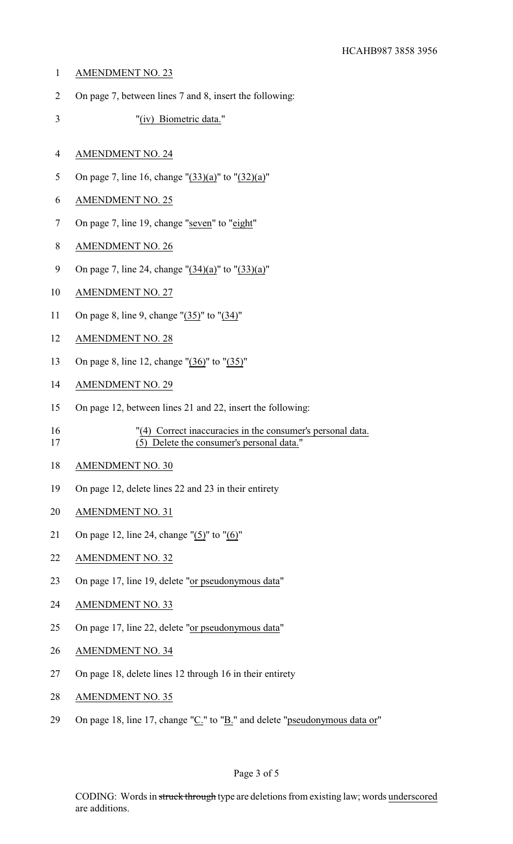- AMENDMENT NO. 23
- On page 7, between lines 7 and 8, insert the following:
- "(iv) Biometric data."
- AMENDMENT NO. 24
- On page 7, line 16, change "(33)(a)" to "(32)(a)"
- AMENDMENT NO. 25
- On page 7, line 19, change "seven" to "eight"
- AMENDMENT NO. 26
- On page 7, line 24, change "(34)(a)" to "(33)(a)"
- AMENDMENT NO. 27
- On page 8, line 9, change "(35)" to "(34)"
- AMENDMENT NO. 28
- On page 8, line 12, change "(36)" to "(35)"
- AMENDMENT NO. 29
- On page 12, between lines 21 and 22, insert the following:
- "(4) Correct inaccuracies in the consumer's personal data. (5) Delete the consumer's personal data."
- AMENDMENT NO. 30
- On page 12, delete lines 22 and 23 in their entirety
- AMENDMENT NO. 31
- On page 12, line 24, change "(5)" to "(6)"
- AMENDMENT NO. 32
- On page 17, line 19, delete "or pseudonymous data"
- AMENDMENT NO. 33
- On page 17, line 22, delete "or pseudonymous data"
- AMENDMENT NO. 34
- On page 18, delete lines 12 through 16 in their entirety
- AMENDMENT NO. 35
- 29 On page 18, line 17, change " $C$ ." to " $B$ ." and delete "pseudonymous data or"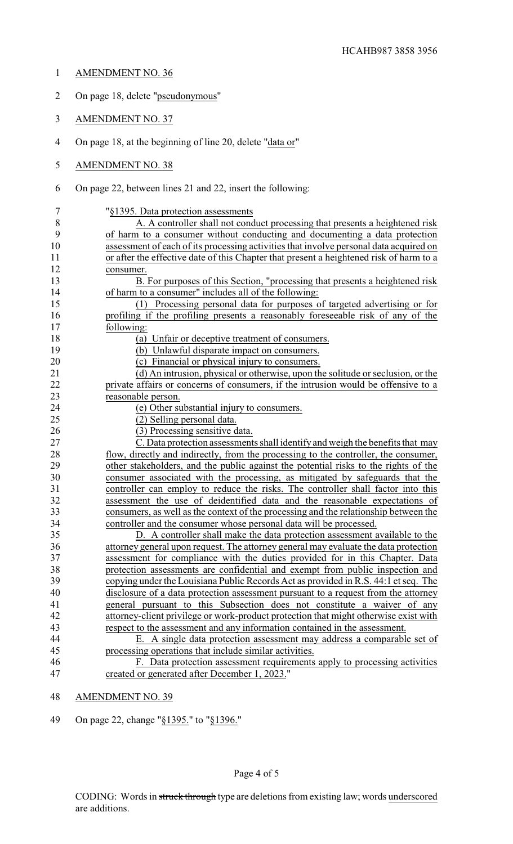- AMENDMENT NO. 36 On page 18, delete "pseudonymous" AMENDMENT NO. 37 On page 18, at the beginning of line 20, delete "data or"
	- AMENDMENT NO. 38
	- On page 22, between lines 21 and 22, insert the following:
	- "§1395. Data protection assessments
- A. A controller shall not conduct processing that presents a heightened risk of harm to a consumer without conducting and documenting a data protection assessment of each of its processing activities that involve personal data acquired on or after the effective date of this Chapter that present a heightened risk of harm to a consumer.
- B. For purposes of this Section, "processing that presents a heightened risk of harm to a consumer" includes all of the following:
- (1) Processing personal data for purposes of targeted advertising or for profiling if the profiling presents a reasonably foreseeable risk of any of the following:
- 18 (a) Unfair or deceptive treatment of consumers.<br>
(b) Unlawful disparate impact on consumers.
- 19 (b) Unlawful disparate impact on consumers.<br>20 (c) Financial or physical injury to consumers
	- (c) Financial or physical injury to consumers.
- (d) An intrusion, physical or otherwise, upon the solitude or seclusion, or the private affairs or concerns of consumers, if the intrusion would be offensive to a reasonable person.
- (e) Other substantial injury to consumers.
- (2) Selling personal data.
- 26 (3) Processing sensitive data.

 C. Data protection assessments shall identify and weigh the benefits that may 28 flow, directly and indirectly, from the processing to the controller, the consumer, 29 other stakeholders, and the public against the potential risks to the rights of the 29 other stakeholders, and the public against the potential risks to the rights of the<br>30 consumer associated with the processing as mitigated by safeguards that the 30 consumer associated with the processing, as mitigated by safeguards that the controller can employ to reduce the risks. The controller shall factor into this controller can employ to reduce the risks. The controller shall factor into this 32 assessment the use of deidentified data and the reasonable expectations of consumers, as well as the context of the processing and the relationship between the consumers, as well as the context of the processing and the relationship between the controller and the consumer whose personal data will be processed.

 D. A controller shall make the data protection assessment available to the attorney general upon request. The attorney general may evaluate the data protection assessment for compliance with the duties provided for in this Chapter. Data 38 protection assessments are confidential and exempt from public inspection and<br>39 convingunder the Louisiana Public Records Act as provided in R S 44.1 et seq. The copying under the Louisiana Public Records Act as provided in R.S. 44:1 et seq. The disclosure of a data protection assessment pursuant to a request from the attorney general pursuant to this Subsection does not constitute a waiver of any attorney-client privilege or work-product protection that might otherwise exist with respect to the assessment and any information contained in the assessment.

# E. A single data protection assessment may address a comparable set of processing operations that include similar activities.

- F. Data protection assessment requirements apply to processing activities created or generated after December 1, 2023."
- AMENDMENT NO. 39
- On page 22, change "§1395." to "§1396."